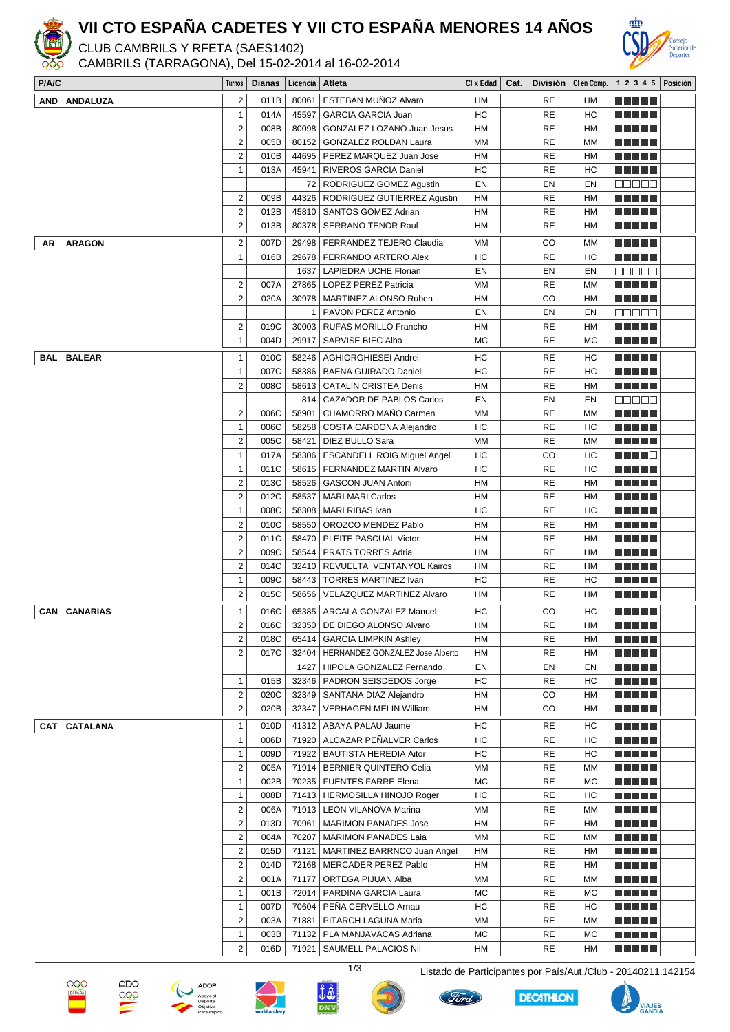

## **VII CTO ESPAÑA CADETES Y VII CTO ESPAÑA MENORES 14 AÑOS**

CLUB CAMBRILS Y RFETA (SAES1402)

CAMBRILS (TARRAGONA), Del 15-02-2014 al 16-02-2014



| P/A/C               | Turnos                         | Dianas | Licencia   Atleta |                                                                |    |                 |           | Cl x Edad   Cat.   División   Clen Comp.   1 2 3 4 5   Posición |  |
|---------------------|--------------------------------|--------|-------------------|----------------------------------------------------------------|----|-----------------|-----------|-----------------------------------------------------------------|--|
| AND ANDALUZA        | $\overline{2}$                 | 011B   | 80061             | ESTEBAN MUÑOZ Alvaro                                           | HM | RE              | HM        | M M M M M                                                       |  |
|                     | $\mathbf{1}$                   | 014A   | 45597             | <b>GARCIA GARCIA Juan</b>                                      | HC | <b>RE</b>       | НC        | n di Tito                                                       |  |
|                     | $\overline{2}$                 | 008B   | 80098             | GONZALEZ LOZANO Juan Jesus                                     | HM | <b>RE</b>       | HM        | ME NE SE                                                        |  |
|                     | $\overline{2}$                 | 005B   |                   | 80152 GONZALEZ ROLDAN Laura                                    | MM | <b>RE</b>       | ΜМ        | <u> Literatur</u>                                               |  |
|                     | $\overline{2}$                 | 010B   | 44695             | PEREZ MARQUEZ Juan Jose                                        | HM | <b>RE</b>       | HM        | <u> Literatur</u>                                               |  |
|                     | $\mathbf{1}$                   | 013A   | 45941             | RIVEROS GARCIA Daniel                                          | НC | <b>RE</b>       | HC        |                                                                 |  |
|                     |                                |        |                   | 72   RODRIGUEZ GOMEZ Agustin                                   | EN | EN              | EN        | Maa aa                                                          |  |
|                     | $\overline{c}$                 | 009B   |                   | 44326   RODRIGUEZ GUTIERREZ Agustin                            | HM | RE              | HM        |                                                                 |  |
|                     | $\overline{2}$                 | 012B   |                   | 45810   SANTOS GOMEZ Adrian                                    | HM | <b>RE</b>       | HM        |                                                                 |  |
|                     | $\overline{2}$                 | 013B   | 80378             |                                                                | НM | RE              | HM        |                                                                 |  |
|                     |                                |        |                   | <b>SERRANO TENOR Raul</b>                                      |    |                 |           | <u> El Bell</u>                                                 |  |
| <b>ARAGON</b><br>AR | $\overline{c}$                 | 007D   |                   | 29498   FERRANDEZ TEJERO Claudia                               | МM | CO              | мм        | <u> Literatur</u>                                               |  |
|                     | $\mathbf{1}$                   | 016B   |                   | 29678   FERRANDO ARTERO Alex                                   | HC | RE              | HC        | n di Tito                                                       |  |
|                     |                                |        |                   | 1637   LAPIEDRA UCHE Florian                                   | EN | EN              | EN        | an da                                                           |  |
|                     | 2                              | 007A   |                   | 27865   LOPEZ PEREZ Patricia                                   | MM | <b>RE</b>       | MM        | ma matsa                                                        |  |
|                     | $\overline{2}$                 | 020A   |                   | 30978   MARTINEZ ALONSO Ruben                                  | НM | CO              | HM        | <u> El Bell</u>                                                 |  |
|                     |                                |        |                   | 1   PAVON PEREZ Antonio                                        | EN | EN              | EN        | 88888                                                           |  |
|                     | $\overline{2}$                 | 019C   |                   | 30003   RUFAS MORILLO Francho                                  | HM | <b>RE</b>       | <b>HM</b> | <u> El El El E</u>                                              |  |
|                     | $\mathbf{1}$                   | 004D   | 29917             | SARVISE BIEC Alba                                              | MC | <b>RE</b>       | MC        | n din din                                                       |  |
| <b>BAL BALEAR</b>   | $\mathbf{1}$                   | 010C   | 58246             | AGHIORGHIESEI Andrei                                           | HС | <b>RE</b>       | НC        | n nin n                                                         |  |
|                     | $\mathbf{1}$                   | 007C   | 58386             |                                                                |    | <b>RE</b>       |           |                                                                 |  |
|                     |                                |        |                   | BAENA GUIRADO Daniel                                           | НC |                 | НC        | <u> El Bell</u>                                                 |  |
|                     | $\overline{2}$                 | 008C   | 58613             | <b>CATALIN CRISTEA Denis</b>                                   | HM | RE              | HM        | n din din                                                       |  |
|                     |                                |        |                   | 814   CAZADOR DE PABLOS Carlos                                 | EN | EN              | EN        | ana ao                                                          |  |
|                     | $\overline{2}$                 | 006C   | 58901             | CHAMORRO MAÑO Carmen                                           | MM | <b>RE</b>       | MM        | n din din                                                       |  |
|                     | $\mathbf{1}$                   | 006C   |                   | 58258   COSTA CARDONA Alejandro                                | НC | <b>RE</b>       | НC        | TI TITIN                                                        |  |
|                     | $\overline{2}$                 | 005C   | 58421             | DIEZ BULLO Sara                                                | MM | <b>RE</b>       | МM        | a da da da                                                      |  |
|                     | $\mathbf{1}$                   | 017A   |                   | 58306   ESCANDELL ROIG Miguel Angel                            | HC | CO              | HC        | TITI TE                                                         |  |
|                     | $\mathbf{1}$                   | 011C   |                   | 58615   FERNANDEZ MARTIN Alvaro                                | НC | <b>RE</b>       | HC        | <u> Literatur</u>                                               |  |
|                     | $\overline{2}$                 | 013C   | 58526             | GASCON JUAN Antoni                                             | НM | <b>RE</b>       | HM        | n di Tito                                                       |  |
|                     | $\overline{2}$                 | 012C   | 58537             | <b>MARI MARI Carlos</b>                                        | HM | <b>RE</b>       | HM        | <u> El Bell</u>                                                 |  |
|                     | $\mathbf{1}$                   | 008C   | 58308             | MARI RIBAS Ivan                                                | HC | RE              | HC        | n din din                                                       |  |
|                     | $\overline{2}$                 | 010C   | 58550             | OROZCO MENDEZ Pablo                                            | HM | <b>RE</b>       | HM        |                                                                 |  |
|                     | $\overline{2}$                 | 011C   | 58470             | PLEITE PASCUAL Victor                                          | HM | <b>RE</b>       | HM        |                                                                 |  |
|                     | $\overline{2}$                 | 009C   | 58544             | PRATS TORRES Adria                                             | НM | <b>RE</b>       | HM        | a da da da                                                      |  |
|                     | $\overline{c}$                 | 014C   | 32410             | REVUELTA VENTANYOL Kairos                                      | HM | <b>RE</b>       | HM        | a da da da                                                      |  |
|                     | $\mathbf{1}$                   | 009C   |                   | 58443   TORRES MARTINEZ Ivan                                   | HC | <b>RE</b>       | HC        | TI TITLE                                                        |  |
|                     | $\overline{2}$                 | 015C   |                   | 58656   VELAZQUEZ MARTINEZ Alvaro                              | HM | <b>RE</b>       | HM        | <u> Literatur</u>                                               |  |
|                     |                                |        |                   |                                                                |    |                 |           | n din din                                                       |  |
| <b>CAN CANARIAS</b> | $\mathbf{1}$<br>$\overline{2}$ | 016C   |                   | 65385   ARCALA GONZALEZ Manuel<br>32350 DE DIEGO ALONSO Alvaro | HС | CO<br><b>RE</b> | НC        |                                                                 |  |
|                     |                                | 016C   |                   |                                                                | HM |                 | HM        | n din din                                                       |  |
|                     | $\overline{c}$                 | 018C   | 65414             | <b>GARCIA LIMPKIN Ashley</b>                                   | HM | RE              | HM        | n din din                                                       |  |
|                     | $\overline{2}$                 | 017C   | 32404             | HERNANDEZ GONZALEZ Jose Alberto                                | HM | <b>RE</b>       | HM        | TI TITLE                                                        |  |
|                     |                                |        | 1427              | HIPOLA GONZALEZ Fernando                                       | EN | EN              | EN        | M SI SI SI S                                                    |  |
|                     | $\mathbf{1}$                   | 015B   | 32346             | PADRON SEISDEDOS Jorge                                         | НC | RE              | HС        | MA MARI                                                         |  |
|                     | 2                              | 020C   | 32349             | SANTANA DIAZ Alejandro                                         | HM | CO              | HM        | MA MARI                                                         |  |
|                     | $\overline{2}$                 | 020B   | 32347             | <b>VERHAGEN MELIN William</b>                                  | HM | CO              | HM        | <u> Literatur</u>                                               |  |
| CAT CATALANA        | $\mathbf{1}$                   | 010D   |                   | 41312   ABAYA PALAU Jaume                                      | HC | RE              | HС        | n na na                                                         |  |
|                     | $\mathbf{1}$                   | 006D   | 71920             | ALCAZAR PEÑALVER Carlos                                        | НC | RE              | HC        | M M M M M                                                       |  |
|                     | $\mathbf{1}$                   | 009D   |                   | 71922   BAUTISTA HEREDIA Aitor                                 | HC | RE              | HС        | <u> E SE SE</u>                                                 |  |
|                     | $\overline{c}$                 | 005A   |                   | 71914   BERNIER QUINTERO Celia                                 | MM | RE              | MМ        | <u>Li se la la</u>                                              |  |
|                     | $\mathbf{1}$                   | 002B   |                   | 70235   FUENTES FARRE Elena                                    | MC | RE              | MC        | MA MATA                                                         |  |
|                     | $\mathbf{1}$                   | 008D   |                   | 71413   HERMOSILLA HINOJO Roger                                | НC | RE              | НC        | e de la c                                                       |  |
|                     | $\overline{2}$                 | 006A   |                   | 71913   LEON VILANOVA Marina                                   | MM | RE              | МM        | <u> El Esta</u>                                                 |  |
|                     | $\overline{2}$                 | 013D   | 70961             | <b>MARIMON PANADES Jose</b>                                    | HM | <b>RE</b>       | HM        | <u> El Bell</u>                                                 |  |
|                     | $\overline{2}$                 | 004A   | 70207             | <b>MARIMON PANADES Laia</b>                                    | MM | <b>RE</b>       | MM        | n di Tito                                                       |  |
|                     | $\overline{2}$                 | 015D   | 71121             | MARTINEZ BARRNCO Juan Angel                                    | HМ | RE              | HM        | <u> El Bell</u>                                                 |  |
|                     | 2                              | 014D   |                   | 72168   MERCADER PEREZ Pablo                                   | НM | RE              | HM        | <u> El Bell</u>                                                 |  |
|                     | $\overline{c}$                 | 001A   | 71177             | ORTEGA PIJUAN Alba                                             | МM | RE              | ΜM        | MA MARI                                                         |  |
|                     | $\mathbf{1}$                   | 001B   | 72014             | PARDINA GARCIA Laura                                           | МC | RE              | MC        | <u> El Bell</u>                                                 |  |
|                     | 1                              | 007D   | 70604             | PEÑA CERVELLO Arnau                                            | HC | RE              | НC        | <u> Literatur</u>                                               |  |
|                     | $\overline{2}$                 | 003A   | 71881             | PITARCH LAGUNA Maria                                           | MM | RE              | MМ        | n din din                                                       |  |
|                     | $\mathbf{1}$                   | 003B   |                   |                                                                | МC | RE              | MC        | M M M M M                                                       |  |
|                     | $\overline{2}$                 |        |                   | 71132   PLA MANJAVACAS Adriana                                 |    |                 |           |                                                                 |  |
|                     |                                | 016D   |                   | 71921   SAUMELL PALACIOS Nil                                   | HM | <b>RE</b>       | HM        | e e e e e                                                       |  |















VIAJES<br>GANDIA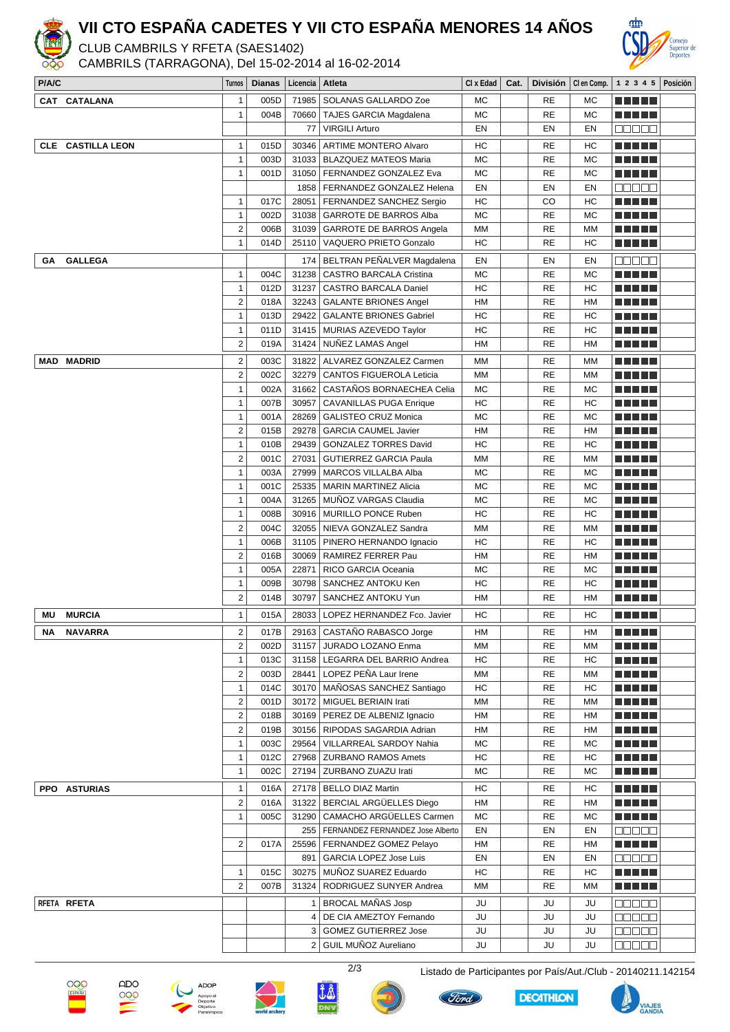

## **VII CTO ESPAÑA CADETES Y VII CTO ESPAÑA MENORES 14 AÑOS**

CLUB CAMBRILS Y RFETA (SAES1402)

CAMBRILS (TARRAGONA), Del 15-02-2014 al 16-02-2014



| P/A/C                    | Turnos                  | <b>Dianas</b> | ∣ Licencia ∣ Atleta |                                        | $Cl x$ Edad $\parallel$ | Cat. |               |            | División   Clen Comp.   1 2 3 4 5   Posición |  |
|--------------------------|-------------------------|---------------|---------------------|----------------------------------------|-------------------------|------|---------------|------------|----------------------------------------------|--|
| CAT CATALANA             | $\mathbf{1}$            | 005D          |                     | 71985   SOLANAS GALLARDO Zoe           | МC                      |      | RE            | MC         | <u> El Bertin</u>                            |  |
|                          | $\mathbf{1}$            | 004B          |                     | 70660 TAJES GARCIA Magdalena           | МC                      |      | <b>RE</b>     | MC         | TI FI FI FI                                  |  |
|                          |                         |               | 77                  | <b>VIRGILI Arturo</b>                  | EN                      |      | EN            | EN         | ana ao                                       |  |
| <b>CLE</b> CASTILLA LEON | $\mathbf{1}$            | 015D          |                     | 30346 ARTIME MONTERO Alvaro            | HC                      |      | RE            | НC         |                                              |  |
|                          | $\mathbf{1}$            | 003D          |                     | 31033   BLAZQUEZ MATEOS Maria          | МC                      |      | <b>RE</b>     | <b>MC</b>  | TI TITLE                                     |  |
|                          | $\mathbf{1}$            | 001D          |                     | 31050   FERNANDEZ GONZALEZ Eva         | МC                      |      | <b>RE</b>     | <b>MC</b>  | ma matsa                                     |  |
|                          |                         |               |                     | 1858   FERNANDEZ GONZALEZ Helena       | EN                      |      | EN            | EN         | a da a a                                     |  |
|                          | $\mathbf{1}$            | 017C          | 28051               | FERNANDEZ SANCHEZ Sergio               | HC                      |      | CO            | HC         | <u> El Bell</u>                              |  |
|                          | $\mathbf{1}$            | 002D          |                     | 31038 GARROTE DE BARROS Alba           | МC                      |      | <b>RE</b>     | МC         | <u> Literatur</u>                            |  |
|                          | $\overline{c}$          | 006B          | 31039               | <b>GARROTE DE BARROS Angela</b>        | МM                      |      | RE            | МM         | <u> Literatur</u>                            |  |
|                          | $\mathbf{1}$            | 014D          |                     | 25110   VAQUERO PRIETO Gonzalo         | HC                      |      | <b>RE</b>     | НC         | <u> El Bell</u>                              |  |
|                          |                         |               |                     |                                        |                         |      |               |            |                                              |  |
| <b>GALLEGA</b><br>GA     |                         |               | 174                 | BELTRAN PEÑALVER Magdalena             | EN                      |      | EN            | EN         | 88888                                        |  |
|                          | $\mathbf{1}$            | 004C          | 31238               | <b>CASTRO BARCALA Cristina</b>         | MC                      |      | <b>RE</b>     | <b>MC</b>  | <u> Literatur</u>                            |  |
|                          | $\mathbf{1}$            | 012D          |                     | 31237   CASTRO BARCALA Daniel          | HC                      |      | RE            | HC         | n di Tito                                    |  |
|                          | $\overline{c}$          | 018A          | 32243               | <b>GALANTE BRIONES Angel</b>           | HM                      |      | <b>RE</b>     | <b>HM</b>  |                                              |  |
|                          | $\mathbf{1}$            | 013D          | 29422               | <b>GALANTE BRIONES Gabriel</b>         | HC                      |      | <b>RE</b>     | HC         | TI TITIN                                     |  |
|                          | $\mathbf{1}$            | 011D          |                     | 31415   MURIAS AZEVEDO Taylor          | HC                      |      | RE            | HC         | TI TITLE                                     |  |
|                          | $\overline{2}$          | 019A          |                     | 31424   NUÑEZ LAMAS Angel              | HM                      |      | <b>RE</b>     | HM         | <u> Literatur</u>                            |  |
| <b>MAD MADRID</b>        | $\overline{c}$          | 003C          | 31822               | ALVAREZ GONZALEZ Carmen                | MM                      |      | <b>RE</b>     | MМ         | <u> El El El E</u>                           |  |
|                          | $\overline{2}$          | 002C          |                     | 32279   CANTOS FIGUEROLA Leticia       | MM                      |      | <b>RE</b>     | МM         | a da bi biyu                                 |  |
|                          | $\mathbf{1}$            | 002A          | 31662               | CASTAÑOS BORNAECHEA Celia              | МC                      |      | <b>RE</b>     | <b>MC</b>  |                                              |  |
|                          | $\mathbf{1}$            | 007B          | 30957               | <b>CAVANILLAS PUGA Enrique</b>         | HC                      |      | RE            | HC         | <u> Literatur</u>                            |  |
|                          | $\mathbf{1}$            | 001A          | 28269               | <b>GALISTEO CRUZ Monica</b>            | МC                      |      | <b>RE</b>     | МC         | n di Tito                                    |  |
|                          | $\overline{2}$          | 015B          | 29278               | <b>GARCIA CAUMEL Javier</b>            | HM                      |      | <b>RE</b>     | HM         | <u> El Bell</u>                              |  |
|                          | $\mathbf{1}$            | 010B          | 29439               | <b>GONZALEZ TORRES David</b>           | HC                      |      | <b>RE</b>     | HC         | <u> El El El E</u>                           |  |
|                          | $\overline{c}$          | 001C          | 27031               | <b>GUTIERREZ GARCIA Paula</b>          | MM                      |      | <b>RE</b>     | MМ         | <u> Literatur</u>                            |  |
|                          | $\mathbf{1}$            | 003A          | 27999               | MARCOS VILLALBA Alba                   | МC                      |      | RE            | МC         | <u> Literatur</u>                            |  |
|                          | $\mathbf{1}$            | 001C          | 25335               | <b>MARIN MARTINEZ Alicia</b>           | МC                      |      | <b>RE</b>     | МC         | TI TITLE                                     |  |
|                          | $\mathbf{1}$            | 004A          | 31265               | MUNOZ VARGAS Claudia                   | МC                      |      | <b>RE</b>     | <b>MC</b>  | a da bi biyu                                 |  |
|                          | $\mathbf{1}$            | 008B          |                     | 30916   MURILLO PONCE Ruben            | HC                      |      | RE            | HC         |                                              |  |
|                          | $\overline{2}$          | 004C          |                     | 32055   NIEVA GONZALEZ Sandra          | MM                      |      | <b>RE</b>     | MM         |                                              |  |
|                          | $\mathbf{1}$            | 006B          |                     | 31105   PINERO HERNANDO Ignacio        | HC                      |      | <b>RE</b>     | HC         | n din bir                                    |  |
|                          | $\overline{c}$          | 016B          | 30069               | RAMIREZ FERRER Pau                     | HM                      |      | <b>RE</b>     | <b>HM</b>  | <u> El El El E</u>                           |  |
|                          | $\mathbf{1}$            | 005A          | 22871               | RICO GARCIA Oceania                    | МC                      |      | <b>RE</b>     | <b>MC</b>  | <u> El El El E</u>                           |  |
|                          | $\mathbf{1}$            | 009B          | 30798               | SANCHEZ ANTOKU Ken                     | HC                      |      | RE            | HC         |                                              |  |
|                          | 2                       | 014B          | 30797               | SANCHEZ ANTOKU Yun                     | HM                      |      | RE            | HM         |                                              |  |
| <b>MURCIA</b><br>MU      | $\mathbf{1}$            | 015A          |                     | 28033   LOPEZ HERNANDEZ Fco. Javier    | HC                      |      | RE            | HC         | <u>n men a</u>                               |  |
| ΝA<br><b>NAVARRA</b>     | $\overline{\mathbf{c}}$ | 017B          |                     | 29163 CASTAÑO RABASCO Jorge            | ${\sf HM}$              |      | $\mathsf{RE}$ | ${\sf HM}$ | $ $ and $ $                                  |  |
|                          | $\overline{2}$          | 002D          |                     | 31157 JURADO LOZANO Enma               | MM                      |      | RE            | ΜМ         | n di Tito                                    |  |
|                          | $\mathbf{1}$            | 013C          |                     | 31158   LEGARRA DEL BARRIO Andrea      | HC                      |      | RE            | НC         | <u> El El El E</u>                           |  |
|                          | $\overline{2}$          | 003D          |                     | 28441 LOPEZ PEÑA Laur Irene            | МM                      |      | RE            | МM         | <u> El El El E</u>                           |  |
|                          | $\mathbf{1}$            | 014C          |                     | 30170   MAÑOSAS SANCHEZ Santiago       | HC                      |      | RE            | НC         | MA MARI                                      |  |
|                          | 2                       | 001D          | 30172               | MIGUEL BERIAIN Irati                   | MM                      |      | RE            | ΜМ         | ME HE HE                                     |  |
|                          | $\overline{c}$          | 018B          |                     | 30169   PEREZ DE ALBENIZ Ignacio       | HM                      |      | RE            | HM         | <u> Literatur</u>                            |  |
|                          | $\overline{c}$          | 019B          |                     | 30156   RIPODAS SAGARDIA Adrian        | HM                      |      | RE            | HM         | <u> Literatur</u>                            |  |
|                          | $\mathbf{1}$            | 003C          | 29564               | <b>VILLARREAL SARDOY Nahia</b>         | МC                      |      | RE            | МC         | <u> El El El E</u>                           |  |
|                          | $\mathbf{1}$            | 012C          |                     | 27968   ZURBANO RAMOS Amets            | HC                      |      | RE            | HC         | <u> El El El E</u>                           |  |
|                          | $\mathbf{1}$            | 002C          |                     | 27194   ZURBANO ZUAZU Irati            | МC                      |      | RE            | MC         | n din din                                    |  |
| PPO ASTURIAS             | $\mathbf{1}$            | 016A          |                     | 27178   BELLO DIAZ Martin              | HC                      |      | RE            | HC         | e e e e e                                    |  |
|                          | $\overline{2}$          | 016A          |                     | 31322 BERCIAL ARGÜELLES Diego          | НM                      |      | RE            | HM         | TI TITIN                                     |  |
|                          | $\mathbf{1}$            | 005C          |                     | 31290 CAMACHO ARGÜELLES Carmen         | МC                      |      | <b>RE</b>     | MC         | <u> El El El E</u>                           |  |
|                          |                         |               |                     | 255   FERNANDEZ FERNANDEZ Jose Alberto | EN                      |      | EN            | EN         | 88888                                        |  |
|                          | 2                       | 017A          |                     | 25596   FERNANDEZ GOMEZ Pelayo         | HM                      |      | RE            | <b>HM</b>  | a da bi biyu                                 |  |
|                          |                         |               |                     | 891   GARCIA LOPEZ Jose Luis           | EN                      |      | EN            | EN         | <b>NNO NN</b>                                |  |
|                          | $\mathbf{1}$            | 015C          | 30275               | MUÑOZ SUAREZ Eduardo                   | HC                      |      | RE            | HC         | <u> El El El E</u>                           |  |
|                          | 2                       | 007B          | 31324               | RODRIGUEZ SUNYER Andrea                | MM                      |      | RE            | МM         | ME HE HE                                     |  |
| RFETA RFETA              |                         |               |                     | 1 BROCAL MAÑAS Josp                    | JU                      |      | JU            | JU         | 88888                                        |  |
|                          |                         |               |                     | 4   DE CIA AMEZTOY Fernando            | JU                      |      | JU            | JU         | Maa aa                                       |  |
|                          |                         |               | 3                   | <b>GOMEZ GUTIERREZ Jose</b>            | JU                      |      | JU            | JU         | 3000a                                        |  |
|                          |                         |               |                     | 2 GUIL MUÑOZ Aureliano                 | JU                      |      | JU            | JU         | 88888                                        |  |
|                          |                         |               |                     |                                        |                         |      |               |            |                                              |  |